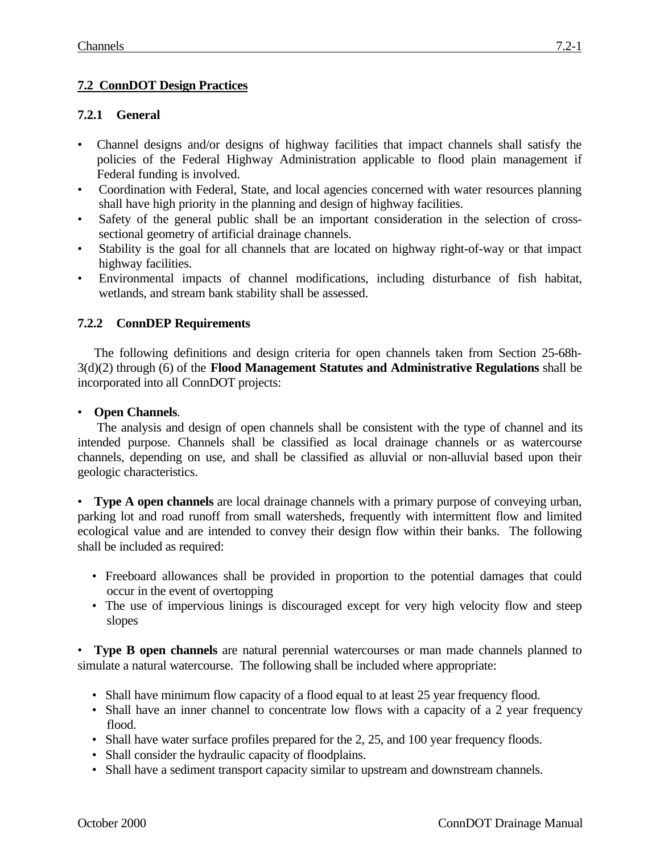## **7.2 ConnDOT Design Practices**

## **7.2.1 General**

- Channel designs and/or designs of highway facilities that impact channels shall satisfy the policies of the Federal Highway Administration applicable to flood plain management if Federal funding is involved.
- Coordination with Federal, State, and local agencies concerned with water resources planning shall have high priority in the planning and design of highway facilities.
- Safety of the general public shall be an important consideration in the selection of crosssectional geometry of artificial drainage channels.
- Stability is the goal for all channels that are located on highway right-of-way or that impact highway facilities.
- Environmental impacts of channel modifications, including disturbance of fish habitat, wetlands, and stream bank stability shall be assessed.

## **7.2.2 ConnDEP Requirements**

The following definitions and design criteria for open channels taken from Section 25-68h-3(d)(2) through (6) of the **Flood Management Statutes and Administrative Regulations** shall be incorporated into all ConnDOT projects:

## • **Open Channels**.

The analysis and design of open channels shall be consistent with the type of channel and its intended purpose. Channels shall be classified as local drainage channels or as watercourse channels, depending on use, and shall be classified as alluvial or non-alluvial based upon their geologic characteristics.

• **Type A open channels** are local drainage channels with a primary purpose of conveying urban, parking lot and road runoff from small watersheds, frequently with intermittent flow and limited ecological value and are intended to convey their design flow within their banks. The following shall be included as required:

- Freeboard allowances shall be provided in proportion to the potential damages that could occur in the event of overtopping
- The use of impervious linings is discouraged except for very high velocity flow and steep slopes

• **Type B open channels** are natural perennial watercourses or man made channels planned to simulate a natural watercourse. The following shall be included where appropriate:

- Shall have minimum flow capacity of a flood equal to at least 25 year frequency flood.
- Shall have an inner channel to concentrate low flows with a capacity of a 2 year frequency flood.
- Shall have water surface profiles prepared for the 2, 25, and 100 year frequency floods.
- Shall consider the hydraulic capacity of floodplains.
- Shall have a sediment transport capacity similar to upstream and downstream channels.